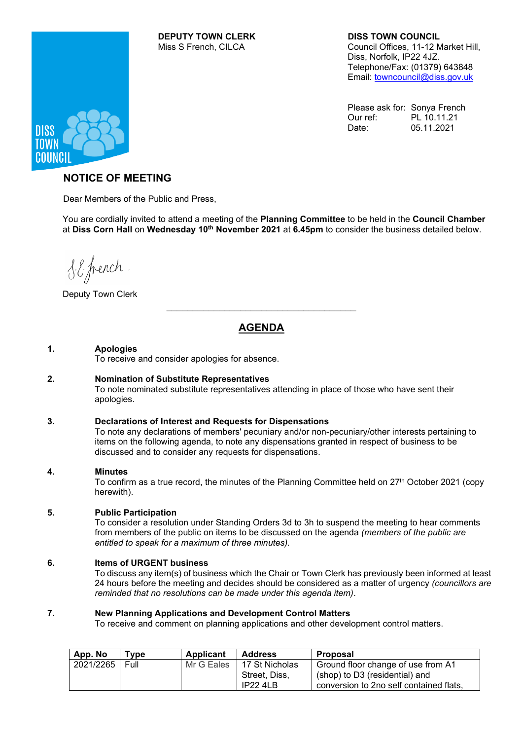# **DEPUTY TOWN CLERK DISS TOWN COUNCIL**

Council Offices, 11-12 Market Hill, Diss, Norfolk, IP22 4JZ. Telephone/Fax: (01379) 643848 Email: [towncouncil@diss.gov.uk](mailto:towncouncil@diss.gov.uk)

Please ask for: Sonya French Our ref: PL 10.11.21 Date: 05.11.2021



## **NOTICE OF MEETING**

Dear Members of the Public and Press,

You are cordially invited to attend a meeting of the **Planning Committee** to be held in the **Council Chamber** at **Diss Corn Hall** on **Wednesday 10th November 2021** at **6.45pm** to consider the business detailed below.

S.E. french

Deputy Town Clerk

## **AGENDA**

 $\overline{\mathcal{L}}$  , and the state of the state of the state of the state of the state of the state of the state of the state of the state of the state of the state of the state of the state of the state of the state of the stat

### **1. Apologies**

To receive and consider apologies for absence.

### **2. Nomination of Substitute Representatives**

To note nominated substitute representatives attending in place of those who have sent their apologies.

### **3. Declarations of Interest and Requests for Dispensations**

To note any declarations of members' pecuniary and/or non-pecuniary/other interests pertaining to items on the following agenda, to note any dispensations granted in respect of business to be discussed and to consider any requests for dispensations.

### **4. Minutes**

To confirm as a true record, the minutes of the Planning Committee held on 27<sup>th</sup> October 2021 (copy herewith).

### **5. Public Participation**

To consider a resolution under Standing Orders 3d to 3h to suspend the meeting to hear comments from members of the public on items to be discussed on the agenda *(members of the public are entitled to speak for a maximum of three minutes).*

### **6. Items of URGENT business**

To discuss any item(s) of business which the Chair or Town Clerk has previously been informed at least 24 hours before the meeting and decides should be considered as a matter of urgency *(councillors are reminded that no resolutions can be made under this agenda item)*.

### **7. New Planning Applications and Development Control Matters**

To receive and comment on planning applications and other development control matters.

| App. No   | Type        | Applicant  | <b>Address</b>  | <b>Proposal</b>                         |  |
|-----------|-------------|------------|-----------------|-----------------------------------------|--|
| 2021/2265 | <b>Full</b> | Mr G Eales | 17 St Nicholas  | Ground floor change of use from A1      |  |
|           |             |            | Street, Diss,   | (shop) to D3 (residential) and          |  |
|           |             |            | <b>IP22 4LB</b> | conversion to 2no self contained flats, |  |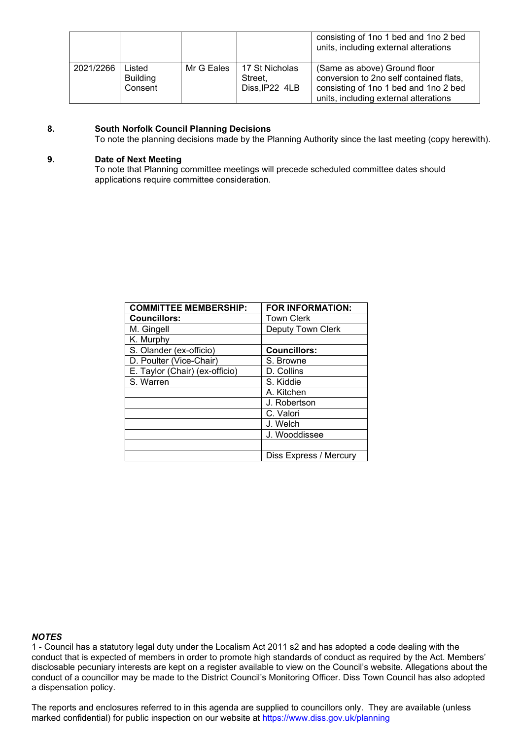|           |                                      |            |                                             | consisting of 1no 1 bed and 1no 2 bed<br>units, including external alterations                                                                            |
|-----------|--------------------------------------|------------|---------------------------------------------|-----------------------------------------------------------------------------------------------------------------------------------------------------------|
| 2021/2266 | Listed<br><b>Building</b><br>Consent | Mr G Eales | 17 St Nicholas<br>Street.<br>Diss, IP22 4LB | (Same as above) Ground floor<br>conversion to 2no self contained flats,<br>consisting of 1no 1 bed and 1no 2 bed<br>units, including external alterations |

### **8. South Norfolk Council Planning Decisions**

To note the planning decisions made by the Planning Authority since the last meeting (copy herewith).

### **9. Date of Next Meeting**

To note that Planning committee meetings will precede scheduled committee dates should applications require committee consideration.

| <b>COMMITTEE MEMBERSHIP:</b>   | <b>FOR INFORMATION:</b>  |
|--------------------------------|--------------------------|
| <b>Councillors:</b>            | <b>Town Clerk</b>        |
| M. Gingell                     | <b>Deputy Town Clerk</b> |
| K. Murphy                      |                          |
| S. Olander (ex-officio)        | <b>Councillors:</b>      |
| D. Poulter (Vice-Chair)        | S. Browne                |
| E. Taylor (Chair) (ex-officio) | D. Collins               |
| S. Warren                      | S. Kiddie                |
|                                | A. Kitchen               |
|                                | J. Robertson             |
|                                | C. Valori                |
|                                | J. Welch                 |
|                                | J. Wooddissee            |
|                                |                          |
|                                | Diss Express / Mercury   |

#### *NOTES*

1 - Council has a statutory legal duty under the Localism Act 2011 s2 and has adopted a code dealing with the conduct that is expected of members in order to promote high standards of conduct as required by the Act. Members' disclosable pecuniary interests are kept on a register available to view on the Council's website. Allegations about the conduct of a councillor may be made to the District Council's Monitoring Officer. Diss Town Council has also adopted a dispensation policy.

The reports and enclosures referred to in this agenda are supplied to councillors only. They are available (unless marked confidential) for public inspection on our website at<https://www.diss.gov.uk/planning>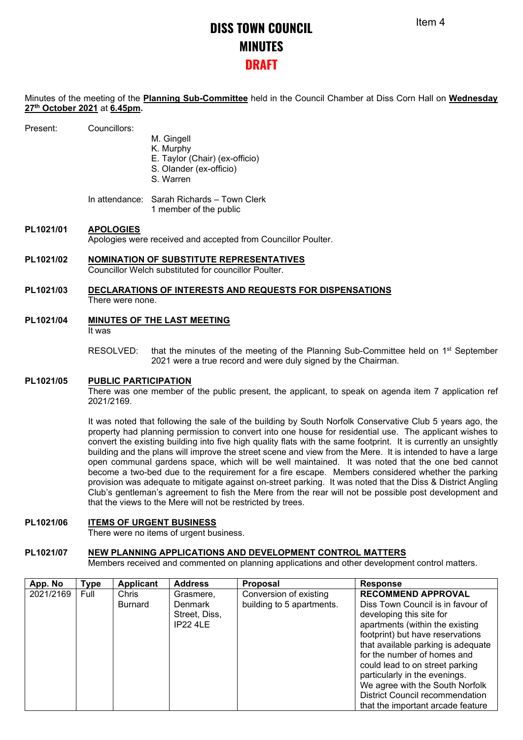## **DISS TOWN COUNCIL MINUTES DRAFT**

Minutes of the meeting of the **Planning Sub-Committee** held in the Council Chamber at Diss Corn Hall on **Wednesday 27th October 2021** at **6.45pm.**

| Councillors: |
|--------------|
|              |

- M. Gingell
- K. Murphy
- E. Taylor (Chair) (ex-officio)
- S. Olander (ex-officio)
- S. Warren

In attendance: Sarah Richards – Town Clerk 1 member of the public

## **PL1021/01 APOLOGIES**

Apologies were received and accepted from Councillor Poulter.

**PL1021/02 NOMINATION OF SUBSTITUTE REPRESENTATIVES** Councillor Welch substituted for councillor Poulter.

### **PL1021/03 DECLARATIONS OF INTERESTS AND REQUESTS FOR DISPENSATIONS** There were none.

- **PL1021/04 MINUTES OF THE LAST MEETING** It was
	- RESOLVED: that the minutes of the meeting of the Planning Sub-Committee held on 1<sup>st</sup> September 2021 were a true record and were duly signed by the Chairman.

### **PL1021/05 PUBLIC PARTICIPATION**

There was one member of the public present, the applicant, to speak on agenda item 7 application ref 2021/2169.

It was noted that following the sale of the building by South Norfolk Conservative Club 5 years ago, the property had planning permission to convert into one house for residential use. The applicant wishes to convert the existing building into five high quality flats with the same footprint. It is currently an unsightly building and the plans will improve the street scene and view from the Mere. It is intended to have a large open communal gardens space, which will be well maintained. It was noted that the one bed cannot become a two-bed due to the requirement for a fire escape. Members considered whether the parking provision was adequate to mitigate against on-street parking. It was noted that the Diss & District Angling Club's gentleman's agreement to fish the Mere from the rear will not be possible post development and that the views to the Mere will not be restricted by trees.

### **PL1021/06 ITEMS OF URGENT BUSINESS**

There were no items of urgent business.

### **PL1021/07 NEW PLANNING APPLICATIONS AND DEVELOPMENT CONTROL MATTERS**

Members received and commented on planning applications and other development control matters.

| App. No   | <b>Type</b> | <b>Applicant</b>        | <b>Address</b>                                           | <b>Proposal</b>                                     | <b>Response</b>                                                                                                                                                                                                                                                                                                                                                                                                              |
|-----------|-------------|-------------------------|----------------------------------------------------------|-----------------------------------------------------|------------------------------------------------------------------------------------------------------------------------------------------------------------------------------------------------------------------------------------------------------------------------------------------------------------------------------------------------------------------------------------------------------------------------------|
| 2021/2169 | Full        | Chris<br><b>Burnard</b> | Grasmere,<br>Denmark<br>Street, Diss,<br><b>IP22 4LE</b> | Conversion of existing<br>building to 5 apartments. | <b>RECOMMEND APPROVAL</b><br>Diss Town Council is in favour of<br>developing this site for<br>apartments (within the existing<br>footprint) but have reservations<br>that available parking is adequate<br>for the number of homes and<br>could lead to on street parking<br>particularly in the evenings.<br>We agree with the South Norfolk<br><b>District Council recommendation</b><br>that the important arcade feature |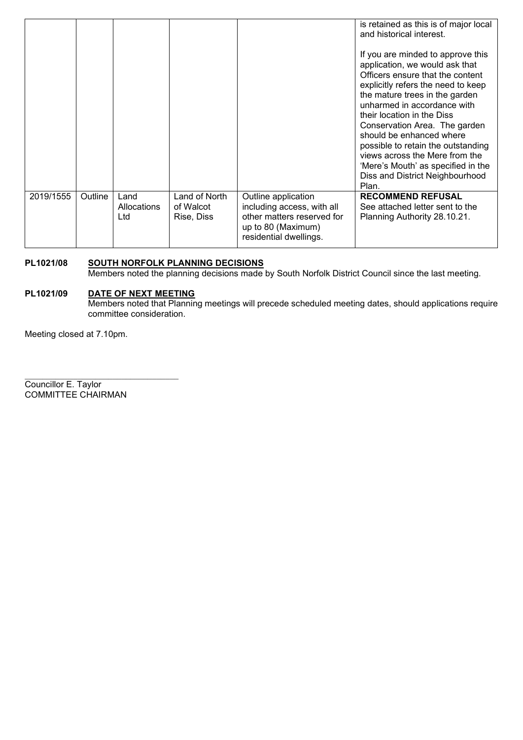|           |         |                             |                                          |                                                                                                                                 | is retained as this is of major local<br>and historical interest.                                                                                                                                                                                                                                                                                                                                                                                                   |
|-----------|---------|-----------------------------|------------------------------------------|---------------------------------------------------------------------------------------------------------------------------------|---------------------------------------------------------------------------------------------------------------------------------------------------------------------------------------------------------------------------------------------------------------------------------------------------------------------------------------------------------------------------------------------------------------------------------------------------------------------|
|           |         |                             |                                          |                                                                                                                                 | If you are minded to approve this<br>application, we would ask that<br>Officers ensure that the content<br>explicitly refers the need to keep<br>the mature trees in the garden<br>unharmed in accordance with<br>their location in the Diss<br>Conservation Area. The garden<br>should be enhanced where<br>possible to retain the outstanding<br>views across the Mere from the<br>'Mere's Mouth' as specified in the<br>Diss and District Neighbourhood<br>Plan. |
| 2019/1555 | Outline | Land<br>Allocations<br>Ltd. | Land of North<br>of Walcot<br>Rise, Diss | Outline application<br>including access, with all<br>other matters reserved for<br>up to 80 (Maximum)<br>residential dwellings. | <b>RECOMMEND REFUSAL</b><br>See attached letter sent to the<br>Planning Authority 28.10.21.                                                                                                                                                                                                                                                                                                                                                                         |

### **PL1021/08 SOUTH NORFOLK PLANNING DECISIONS**

Members noted the planning decisions made by South Norfolk District Council since the last meeting.

### **PL1021/09 DATE OF NEXT MEETING**

\_\_\_\_\_\_\_\_\_\_\_\_\_\_\_\_\_\_\_\_\_\_\_\_\_\_\_\_\_\_\_\_\_\_\_

Members noted that Planning meetings will precede scheduled meeting dates, should applications require committee consideration.

Meeting closed at 7.10pm.

Councillor E. Taylor COMMITTEE CHAIRMAN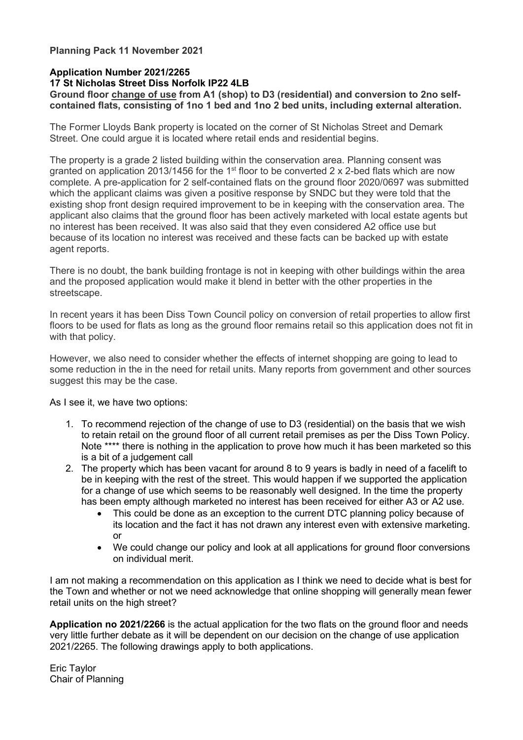## **Planning Pack 11 November 2021**

## **Application Number 2021/2265**

### **17 St Nicholas Street Diss Norfolk IP22 4LB**

**Ground floor change of use from A1 (shop) to D3 (residential) and conversion to 2no selfcontained flats, consisting of 1no 1 bed and 1no 2 bed units, including external alteration.**

The Former Lloyds Bank property is located on the corner of St Nicholas Street and Demark Street. One could argue it is located where retail ends and residential begins.

The property is a grade 2 listed building within the conservation area. Planning consent was granted on application 2013/1456 for the 1<sup>st</sup> floor to be converted 2 x 2-bed flats which are now complete. A pre-application for 2 self-contained flats on the ground floor 2020/0697 was submitted which the applicant claims was given a positive response by SNDC but they were told that the existing shop front design required improvement to be in keeping with the conservation area. The applicant also claims that the ground floor has been actively marketed with local estate agents but no interest has been received. It was also said that they even considered A2 office use but because of its location no interest was received and these facts can be backed up with estate agent reports.

There is no doubt, the bank building frontage is not in keeping with other buildings within the area and the proposed application would make it blend in better with the other properties in the streetscape.

In recent years it has been Diss Town Council policy on conversion of retail properties to allow first floors to be used for flats as long as the ground floor remains retail so this application does not fit in with that policy.

However, we also need to consider whether the effects of internet shopping are going to lead to some reduction in the in the need for retail units. Many reports from government and other sources suggest this may be the case.

As I see it, we have two options:

- 1. To recommend rejection of the change of use to D3 (residential) on the basis that we wish to retain retail on the ground floor of all current retail premises as per the Diss Town Policy. Note \*\*\*\* there is nothing in the application to prove how much it has been marketed so this is a bit of a judgement call
- 2. The property which has been vacant for around 8 to 9 years is badly in need of a facelift to be in keeping with the rest of the street. This would happen if we supported the application for a change of use which seems to be reasonably well designed. In the time the property has been empty although marketed no interest has been received for either A3 or A2 use.
	- This could be done as an exception to the current DTC planning policy because of its location and the fact it has not drawn any interest even with extensive marketing. or
	- We could change our policy and look at all applications for ground floor conversions on individual merit.

I am not making a recommendation on this application as I think we need to decide what is best for the Town and whether or not we need acknowledge that online shopping will generally mean fewer retail units on the high street?

**Application no 2021/2266** is the actual application for the two flats on the ground floor and needs very little further debate as it will be dependent on our decision on the change of use application 2021/2265. The following drawings apply to both applications.

Eric Taylor Chair of Planning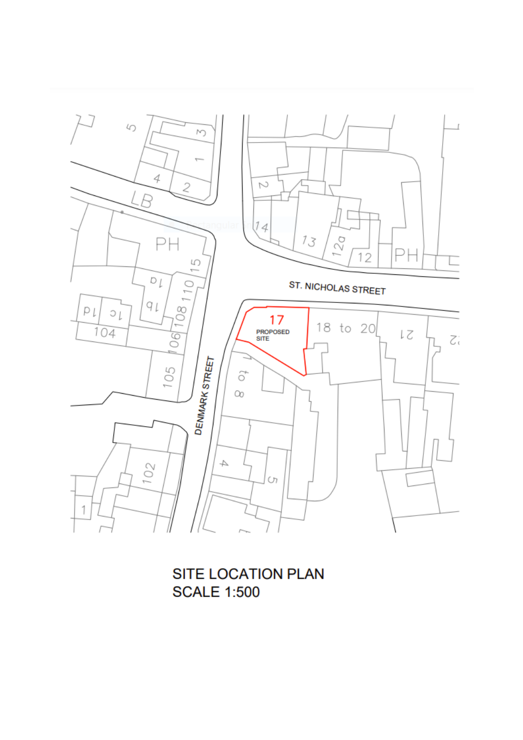

SITE LOCATION PLAN **SCALE 1:500**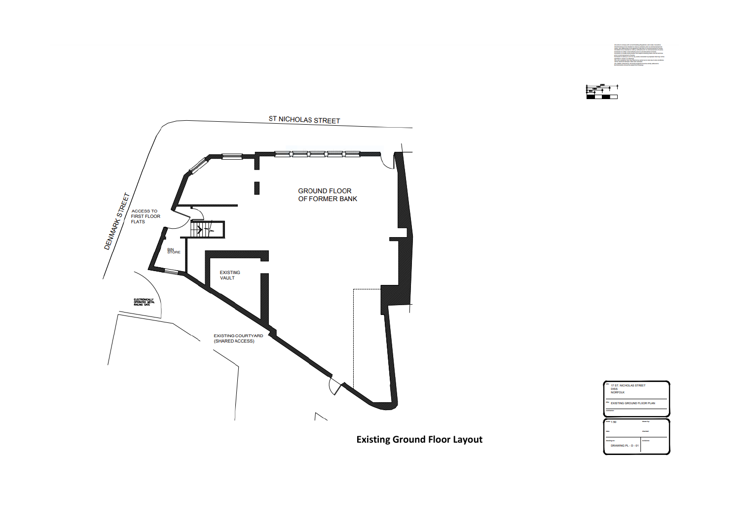







**Existing Ground Floor Layout**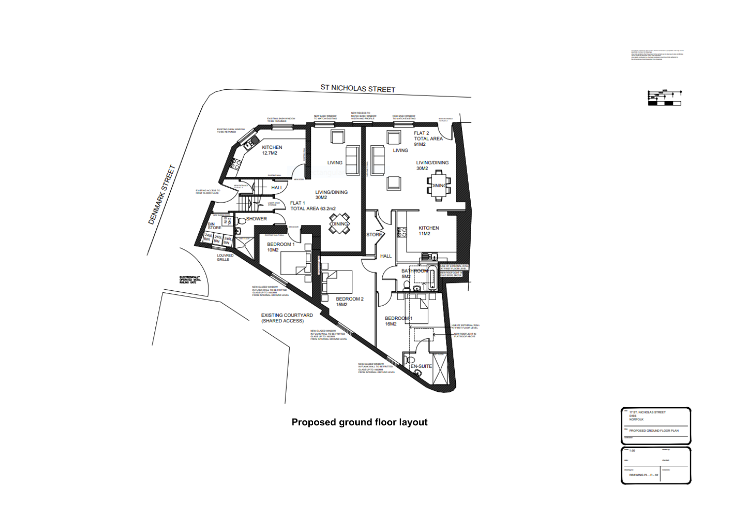

spectral or shown in images<br>Also can usualize that may head to be carried.<br>While heads at heroest client and usualized.



**Proposed ground floor layout**

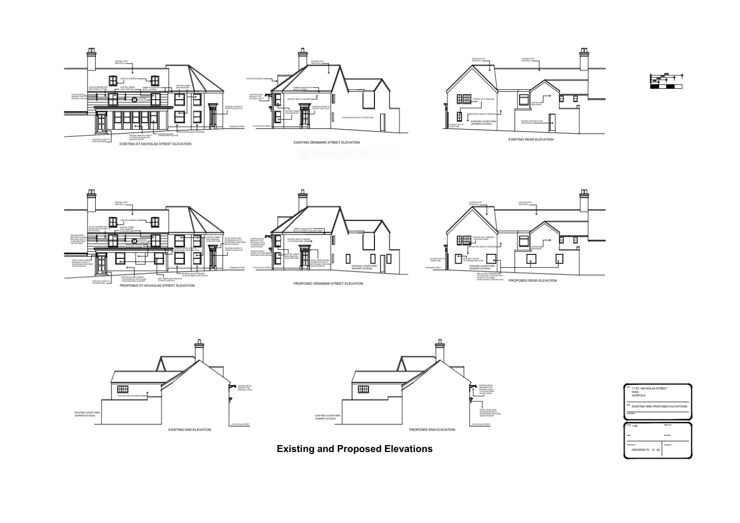









**Existing and Proposed Elevations**